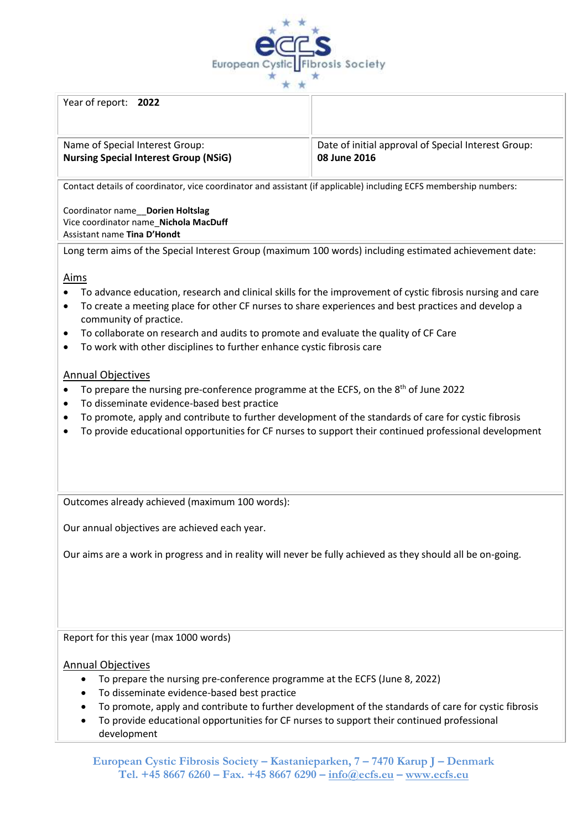

Year of report: **2022**

# Name of Special Interest Group: **Nursing Special Interest Group (NSiG)**

Date of initial approval of Special Interest Group: **08 June 2016**

Contact details of coordinator, vice coordinator and assistant (if applicable) including ECFS membership numbers:

Coordinator name\_\_**Dorien Holtslag** Vice coordinator name\_**Nichola MacDuff** Assistant name **Tina D'Hondt** 

Long term aims of the Special Interest Group (maximum 100 words) including estimated achievement date:

## Aims

- To advance education, research and clinical skills for the improvement of cystic fibrosis nursing and care
- To create a meeting place for other CF nurses to share experiences and best practices and develop a community of practice.
- To collaborate on research and audits to promote and evaluate the quality of CF Care
- To work with other disciplines to further enhance cystic fibrosis care

## Annual Objectives

- To prepare the nursing pre-conference programme at the ECFS, on the  $8<sup>th</sup>$  of June 2022
- To disseminate evidence-based best practice
- To promote, apply and contribute to further development of the standards of care for cystic fibrosis
- To provide educational opportunities for CF nurses to support their continued professional development

Outcomes already achieved (maximum 100 words):

Our annual objectives are achieved each year.

Our aims are a work in progress and in reality will never be fully achieved as they should all be on-going.

Report for this year (max 1000 words)

#### Annual Objectives

- To prepare the nursing pre-conference programme at the ECFS (June 8, 2022)
- To disseminate evidence-based best practice
- To promote, apply and contribute to further development of the standards of care for cystic fibrosis
- To provide educational opportunities for CF nurses to support their continued professional development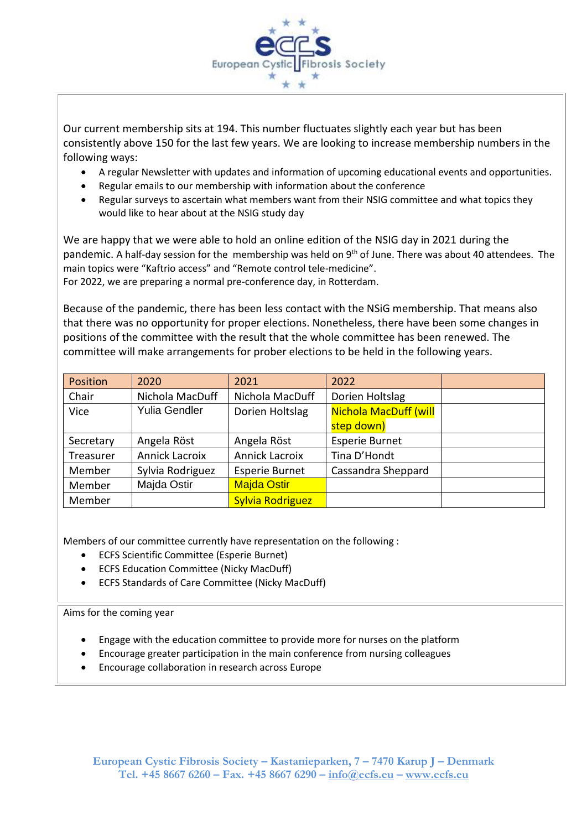

Our current membership sits at 194. This number fluctuates slightly each year but has been consistently above 150 for the last few years. We are looking to increase membership numbers in the following ways:

- A regular Newsletter with updates and information of upcoming educational events and opportunities.
- Regular emails to our membership with information about the conference
- Regular surveys to ascertain what members want from their NSIG committee and what topics they would like to hear about at the NSIG study day

We are happy that we were able to hold an online edition of the NSIG day in 2021 during the pandemic. A half-day session for the membership was held on 9<sup>th</sup> of June. There was about 40 attendees. The main topics were "Kaftrio access" and "Remote control tele-medicine". For 2022, we are preparing a normal pre-conference day, in Rotterdam.

Because of the pandemic, there has been less contact with the NSiG membership. That means also that there was no opportunity for proper elections. Nonetheless, there have been some changes in positions of the committee with the result that the whole committee has been renewed. The committee will make arrangements for prober elections to be held in the following years.

| Position  | 2020                  | 2021                    | 2022                         |  |
|-----------|-----------------------|-------------------------|------------------------------|--|
| Chair     | Nichola MacDuff       | Nichola MacDuff         | Dorien Holtslag              |  |
| Vice      | <b>Yulia Gendler</b>  | Dorien Holtslag         | <b>Nichola MacDuff (will</b> |  |
|           |                       |                         | step down)                   |  |
| Secretary | Angela Röst           | Angela Röst             | <b>Esperie Burnet</b>        |  |
| Treasurer | <b>Annick Lacroix</b> | <b>Annick Lacroix</b>   | Tina D'Hondt                 |  |
| Member    | Sylvia Rodriguez      | <b>Esperie Burnet</b>   | Cassandra Sheppard           |  |
| Member    | Majda Ostir           | <b>Majda Ostir</b>      |                              |  |
| Member    |                       | <b>Sylvia Rodriguez</b> |                              |  |

Members of our committee currently have representation on the following :

- ECFS Scientific Committee (Esperie Burnet)
- ECFS Education Committee (Nicky MacDuff)
- ECFS Standards of Care Committee (Nicky MacDuff)

#### Aims for the coming year

- Engage with the education committee to provide more for nurses on the platform
- Encourage greater participation in the main conference from nursing colleagues
- Encourage collaboration in research across Europe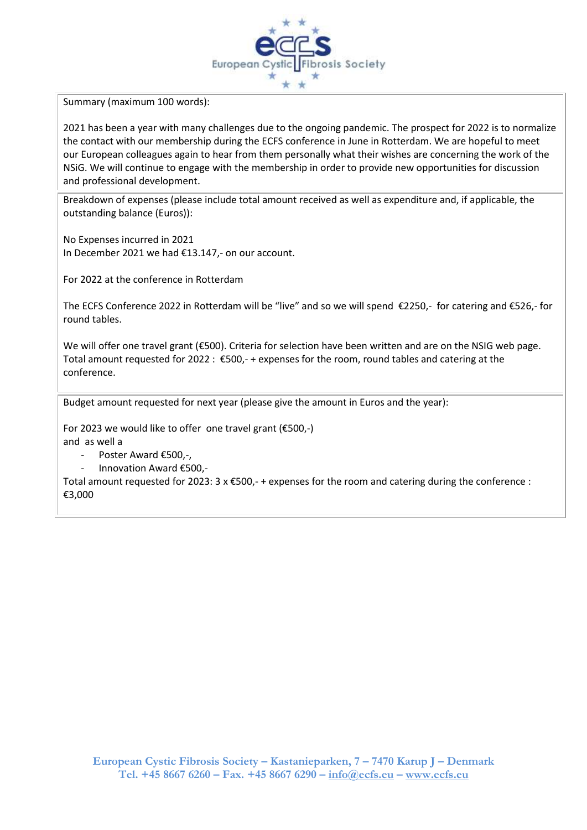

Summary (maximum 100 words):

2021 has been a year with many challenges due to the ongoing pandemic. The prospect for 2022 is to normalize the contact with our membership during the ECFS conference in June in Rotterdam. We are hopeful to meet our European colleagues again to hear from them personally what their wishes are concerning the work of the NSiG. We will continue to engage with the membership in order to provide new opportunities for discussion and professional development.

Breakdown of expenses (please include total amount received as well as expenditure and, if applicable, the outstanding balance (Euros)):

No Expenses incurred in 2021 In December 2021 we had €13.147,- on our account.

For 2022 at the conference in Rotterdam

The ECFS Conference 2022 in Rotterdam will be "live" and so we will spend €2250,- for catering and €526,- for round tables.

We will offer one travel grant (€500). Criteria for selection have been written and are on the NSIG web page. Total amount requested for 2022 : €500,- + expenses for the room, round tables and catering at the conference.

Budget amount requested for next year (please give the amount in Euros and the year):

For 2023 we would like to offer one travel grant (€500,-) and as well a

- Poster Award €500.-.
- Innovation Award €500,-

Total amount requested for 2023: 3 x €500,- + expenses for the room and catering during the conference : €3,000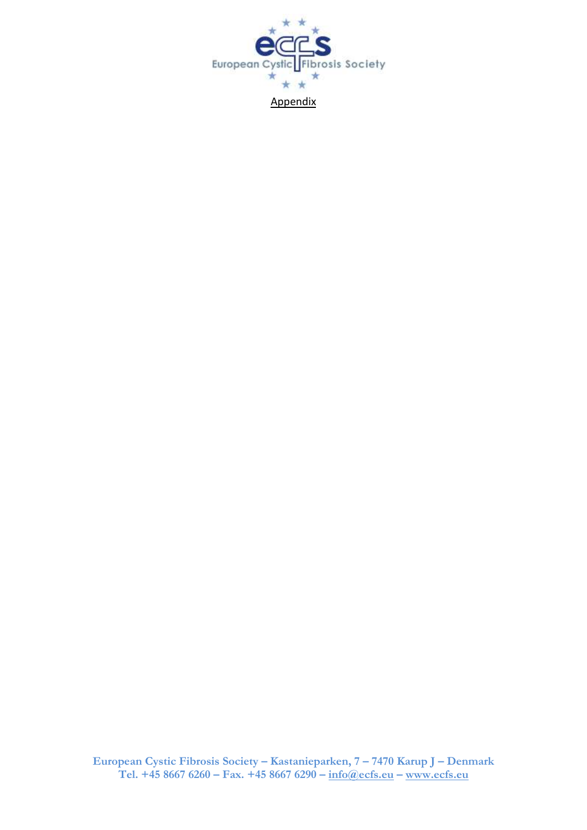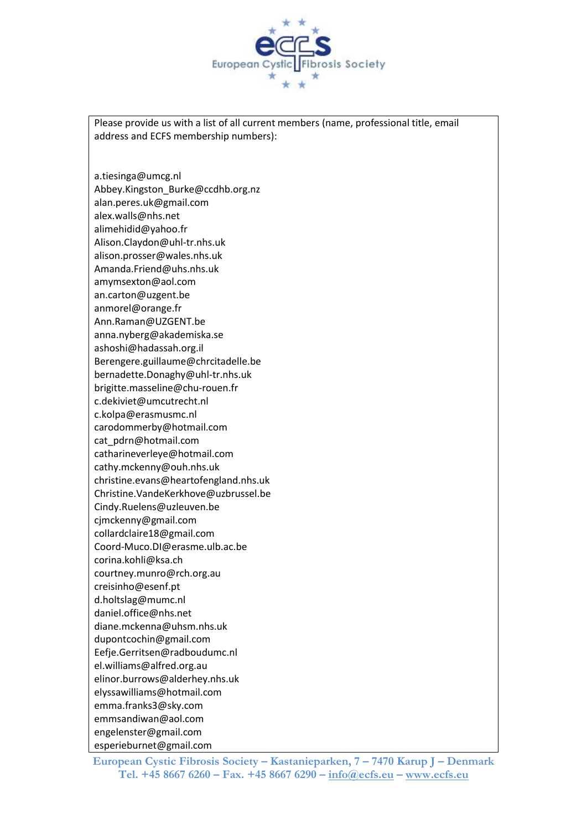

Please provide us with a list of all current members (name, professional title, email address and ECFS membership numbers):

a.tiesinga@umcg.nl Abbey.Kingston\_Burke@ccdhb.org.nz alan.peres.uk@gmail.com alex.walls@nhs.net alimehidid@yahoo.fr Alison.Claydon@uhl-tr.nhs.uk alison.prosser@wales.nhs.uk Amanda.Friend@uhs.nhs.uk amymsexton@aol.com an.carton@uzgent.be anmorel@orange.fr Ann.Raman@UZGENT.be anna.nyberg@akademiska.se ashoshi@hadassah.org.il Berengere.guillaume@chrcitadelle.be bernadette.Donaghy@uhl-tr.nhs.uk brigitte.masseline@chu-rouen.fr c.dekiviet@umcutrecht.nl c.kolpa@erasmusmc.nl carodommerby@hotmail.com cat\_pdrn@hotmail.com catharineverleye@hotmail.com cathy.mckenny@ouh.nhs.uk christine.evans@heartofengland.nhs.uk Christine.VandeKerkhove@uzbrussel.be Cindy.Ruelens@uzleuven.be cjmckenny@gmail.com collardclaire18@gmail.com Coord-Muco.DI@erasme.ulb.ac.be corina.kohli@ksa.ch courtney.munro@rch.org.au creisinho@esenf.pt d.holtslag@mumc.nl daniel.office@nhs.net diane.mckenna@uhsm.nhs.uk dupontcochin@gmail.com Eefje.Gerritsen@radboudumc.nl el.williams@alfred.org.au elinor.burrows@alderhey.nhs.uk elyssawilliams@hotmail.com emma.franks3@sky.com emmsandiwan@aol.com engelenster@gmail.com esperieburnet@gmail.com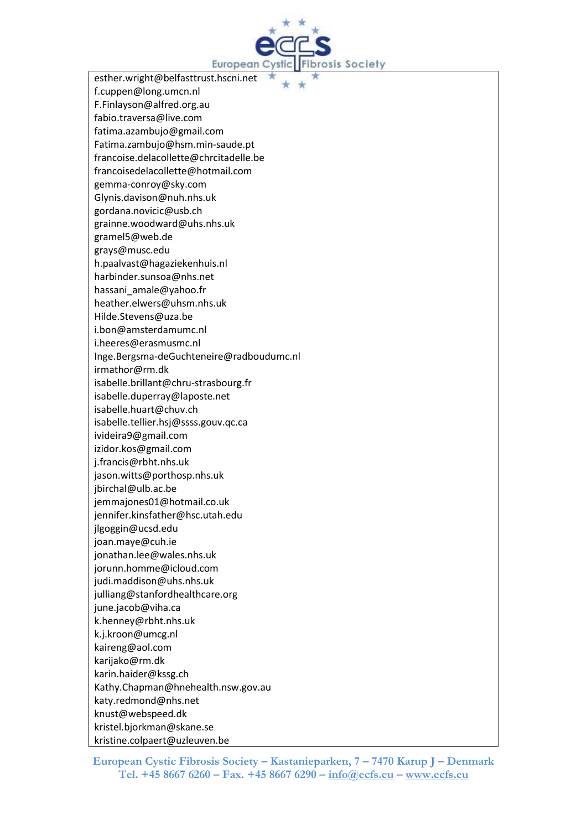

esther.wright@belfasttrust.hscni.net f.cuppen@long.umcn.nl F.Finlayson@alfred.org.au fabio.traversa@live.com fatima.azambujo@gmail.com Fatima.zambujo@hsm.min-saude.pt francoise.delacollette@chrcitadelle.be francoisedelacollette@hotmail.com gemma-conroy@sky.com Glynis.davison@nuh.nhs.uk gordana.novicic@usb.ch grainne.woodward@uhs.nhs.uk gramel5@web.de grays@musc.edu h.paalvast@hagaziekenhuis.nl harbinder.sunsoa@nhs.net hassani\_amale@yahoo.fr heather.elwers@uhsm.nhs.uk Hilde.Stevens@uza.be i.bon@amsterdamumc.nl i.heeres@erasmusmc.nl Inge.Bergsma-deGuchteneire@radboudumc.nl irmathor@rm.dk isabelle.brillant@chru-strasbourg.fr isabelle.duperray@laposte.net isabelle.huart@chuv.ch isabelle.tellier.hsj@ssss.gouv.qc.ca ivideira9@gmail.com izidor.kos@gmail.com j.francis@rbht.nhs.uk jason.witts@porthosp.nhs.uk jbirchal@ulb.ac.be jemmajones01@hotmail.co.uk jennifer.kinsfather@hsc.utah.edu jlgoggin@ucsd.edu joan.maye@cuh.ie jonathan.lee@wales.nhs.uk jorunn.homme@icloud.com judi.maddison@uhs.nhs.uk julliang@stanfordhealthcare.org june.jacob@viha.ca k.henney@rbht.nhs.uk k.j.kroon@umcg.nl kaireng@aol.com karijako@rm.dk karin.haider@kssg.ch Kathy.Chapman@hnehealth.nsw.gov.au katy.redmond@nhs.net knust@webspeed.dk kristel.bjorkman@skane.se kristine.colpaert@uzleuven.be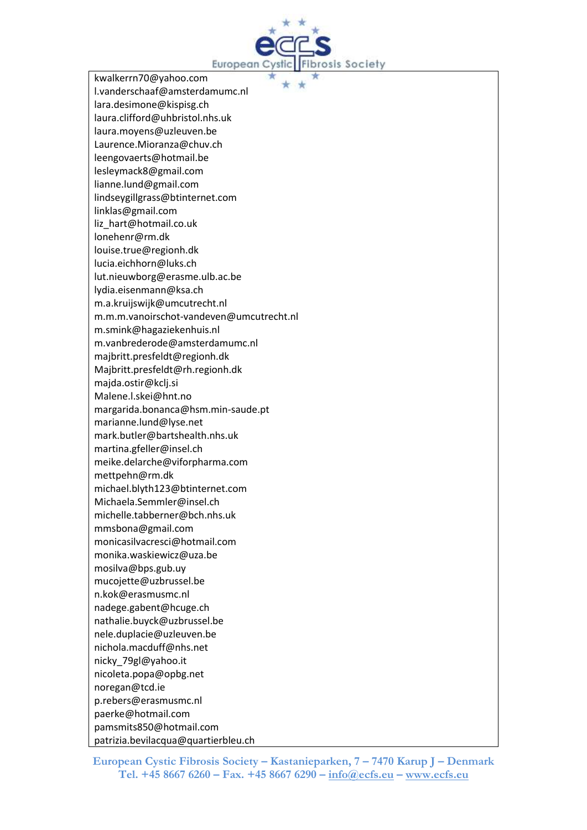

kwalkerrn70@yahoo.com l.vanderschaaf@amsterdamumc.nl lara.desimone@kispisg.ch laura.clifford@uhbristol.nhs.uk laura.moyens@uzleuven.be Laurence.Mioranza@chuv.ch leengovaerts@hotmail.be lesleymack8@gmail.com lianne.lund@gmail.com lindseygillgrass@btinternet.com linklas@gmail.com liz\_hart@hotmail.co.uk lonehenr@rm.dk louise.true@regionh.dk lucia.eichhorn@luks.ch lut.nieuwborg@erasme.ulb.ac.be lydia.eisenmann@ksa.ch m.a.kruijswijk@umcutrecht.nl m.m.m.vanoirschot-vandeven@umcutrecht.nl m.smink@hagaziekenhuis.nl m.vanbrederode@amsterdamumc.nl majbritt.presfeldt@regionh.dk Majbritt.presfeldt@rh.regionh.dk majda.ostir@kclj.si Malene.l.skei@hnt.no margarida.bonanca@hsm.min-saude.pt marianne.lund@lyse.net mark.butler@bartshealth.nhs.uk martina.gfeller@insel.ch meike.delarche@viforpharma.com mettpehn@rm.dk michael.blyth123@btinternet.com Michaela.Semmler@insel.ch michelle.tabberner@bch.nhs.uk mmsbona@gmail.com monicasilvacresci@hotmail.com monika.waskiewicz@uza.be mosilva@bps.gub.uy mucojette@uzbrussel.be n.kok@erasmusmc.nl nadege.gabent@hcuge.ch nathalie.buyck@uzbrussel.be nele.duplacie@uzleuven.be nichola.macduff@nhs.net nicky\_79gl@yahoo.it nicoleta.popa@opbg.net noregan@tcd.ie p.rebers@erasmusmc.nl paerke@hotmail.com pamsmits850@hotmail.com patrizia.bevilacqua@quartierbleu.ch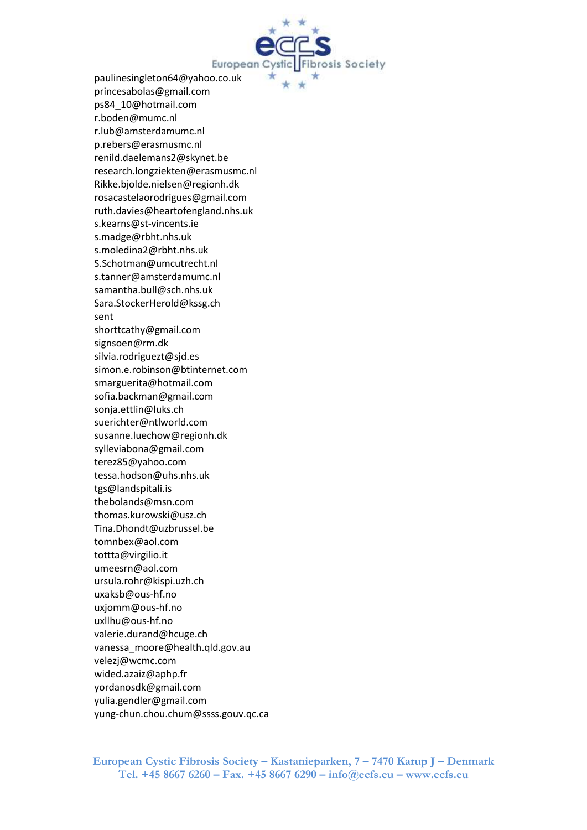

paulinesingleton64@yahoo.co.uk princesabolas@gmail.com ps84\_10@hotmail.com r.boden@mumc.nl r.lub@amsterdamumc.nl p.rebers@erasmusmc.nl renild.daelemans2@skynet.be research.longziekten@erasmusmc.nl Rikke.bjolde.nielsen@regionh.dk rosacastelaorodrigues@gmail.com ruth.davies@heartofengland.nhs.uk s.kearns@st-vincents.ie s.madge@rbht.nhs.uk s.moledina2@rbht.nhs.uk S.Schotman@umcutrecht.nl s.tanner@amsterdamumc.nl samantha.bull@sch.nhs.uk Sara.StockerHerold@kssg.ch sent shorttcathy@gmail.com signsoen@rm.dk silvia.rodriguezt@sjd.es simon.e.robinson@btinternet.com smarguerita@hotmail.com sofia.backman@gmail.com sonja.ettlin@luks.ch suerichter@ntlworld.com susanne.luechow@regionh.dk sylleviabona@gmail.com terez85@yahoo.com tessa.hodson@uhs.nhs.uk tgs@landspitali.is thebolands@msn.com thomas.kurowski@usz.ch Tina.Dhondt@uzbrussel.be tomnbex@aol.com tottta@virgilio.it umeesrn@aol.com ursula.rohr@kispi.uzh.ch uxaksb@ous-hf.no uxjomm@ous-hf.no uxllhu@ous-hf.no valerie.durand@hcuge.ch vanessa\_moore@health.qld.gov.au velezj@wcmc.com wided.azaiz@aphp.fr yordanosdk@gmail.com yulia.gendler@gmail.com

yung-chun.chou.chum@ssss.gouv.qc.ca